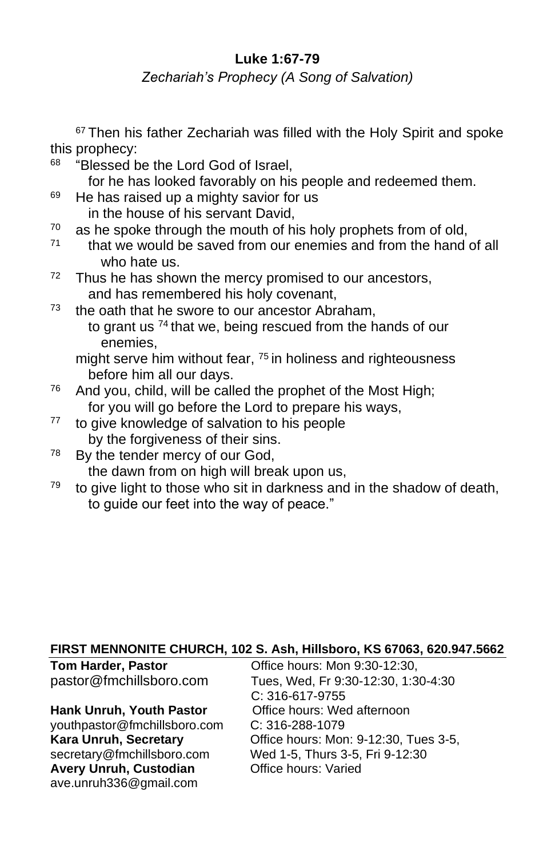# **Luke 1:67-79**

*Zechariah's Prophecy (A Song of Salvation)*

<sup>67</sup> Then his father Zechariah was filled with the Holy Spirit and spoke this prophecy:

68 "Blessed be the Lord God of Israel,

for he has looked favorably on his people and redeemed them.

- $69$  He has raised up a mighty savior for us in the house of his servant David,
- $70$  as he spoke through the mouth of his holy prophets from of old,
- $71$  that we would be saved from our enemies and from the hand of all who hate us.
- $72$  Thus he has shown the mercy promised to our ancestors, and has remembered his holy covenant,
- $73$  the oath that he swore to our ancestor Abraham, to grant us <sup>74</sup> that we, being rescued from the hands of our enemies,

might serve him without fear, <sup>75</sup> in holiness and righteousness before him all our days.

- $76$  And you, child, will be called the prophet of the Most High; for you will go before the Lord to prepare his ways,
- <sup>77</sup> to give knowledge of salvation to his people by the forgiveness of their sins.
- $78$  By the tender mercy of our God, the dawn from on high will break upon us,
- $79$  to give light to those who sit in darkness and in the shadow of death, to quide our feet into the way of peace."

#### **FIRST MENNONITE CHURCH, 102 S. Ash, Hillsboro, KS 67063, 620.947.5662**

| <b>Tom Harder, Pastor</b>       | Office hours: Mon 9:30-12:30,         |
|---------------------------------|---------------------------------------|
| pastor@fmchillsboro.com         | Tues, Wed, Fr 9:30-12:30, 1:30-4:30   |
|                                 | C: 316-617-9755                       |
| <b>Hank Unruh, Youth Pastor</b> | Office hours: Wed afternoon           |
| youthpastor@fmchillsboro.com    | $C: 316 - 288 - 1079$                 |
| Kara Unruh, Secretary           | Office hours: Mon: 9-12:30, Tues 3-5, |
| secretary@fmchillsboro.com      | Wed 1-5, Thurs 3-5, Fri 9-12:30       |
| Avery Unruh, Custodian          | Office hours: Varied                  |
| ave.unruh336@gmail.com          |                                       |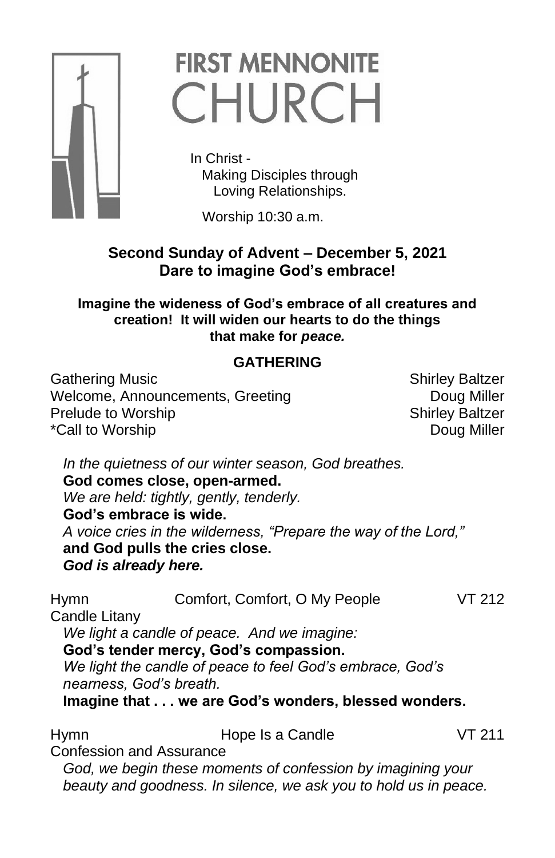

# **FIRST MENNONITE** CHURCH

 In Christ - Making Disciples through Loving Relationships.

Worship 10:30 a.m.

# **Second Sunday of Advent – December 5, 2021 Dare to imagine God's embrace!**

**Imagine the wideness of God's embrace of all creatures and creation! It will widen our hearts to do the things that make for** *peace.*

# **GATHERING**

Gathering Music **Shirley Baltzer** Shirley Baltzer Welcome, Announcements, Greeting The County Doug Miller Prelude to Worship Shirley Baltzer \*Call to Worship **Doug Miller** 

*In the quietness of our winter season, God breathes.* **God comes close, open-armed.** *We are held: tightly, gently, tenderly.* **God's embrace is wide.** *A voice cries in the wilderness, "Prepare the way of the Lord,"* **and God pulls the cries close.** *God is already here.*

Hymn Comfort, Comfort, O My People VT 212 Candle Litany *We light a candle of peace. And we imagine:* **God's tender mercy, God's compassion.** *We light the candle of peace to feel God's embrace, God's nearness, God's breath.* **Imagine that . . . we are God's wonders, blessed wonders.**

Hymn **Hope Is a Candle** VT 211 Confession and Assurance *God, we begin these moments of confession by imagining your beauty and goodness. In silence, we ask you to hold us in peace.*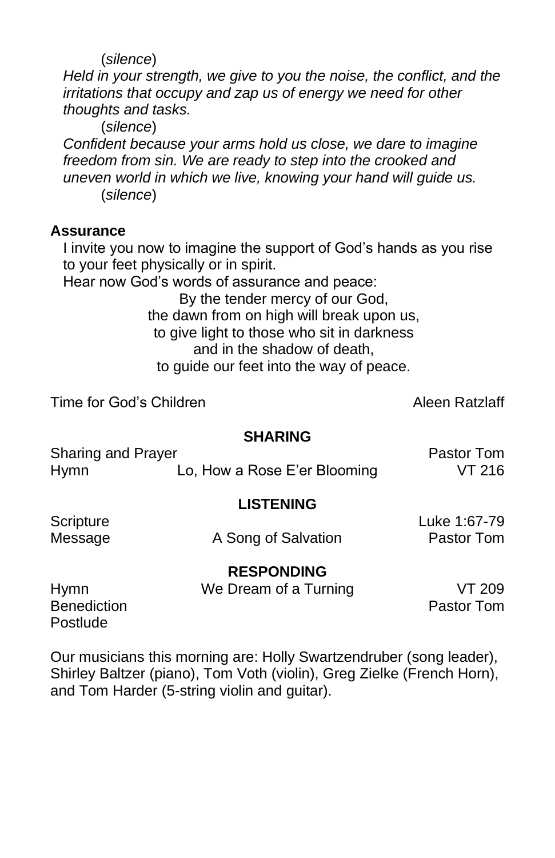(*silence*)

*Held in your strength, we give to you the noise, the conflict, and the irritations that occupy and zap us of energy we need for other thoughts and tasks.*

(*silence*)

*Confident because your arms hold us close, we dare to imagine freedom from sin. We are ready to step into the crooked and uneven world in which we live, knowing your hand will guide us.* (*silence*)

### **Assurance**

I invite you now to imagine the support of God's hands as you rise to your feet physically or in spirit.

Hear now God's words of assurance and peace:

By the tender mercy of our God, the dawn from on high will break upon us, to give light to those who sit in darkness and in the shadow of death, to guide our feet into the way of peace.

Time for God's Children Alexander Aleen Ratzlaff

#### **SHARING**

Sharing and Prayer **Pastor Tom** Hymn Lo, How a Rose E'er Blooming VT 216

#### **LISTENING**

Scripture Luke 1:67-79

Message **A** Song of Salvation **Pastor Tom** 

**RESPONDING** Hymn We Dream of a Turning VT 209

Benediction **Pastor Tommunics Pastor Tommunics Pastor Tommunics Postlude** 

Our musicians this morning are: Holly Swartzendruber (song leader), Shirley Baltzer (piano), Tom Voth (violin), Greg Zielke (French Horn), and Tom Harder (5-string violin and guitar).